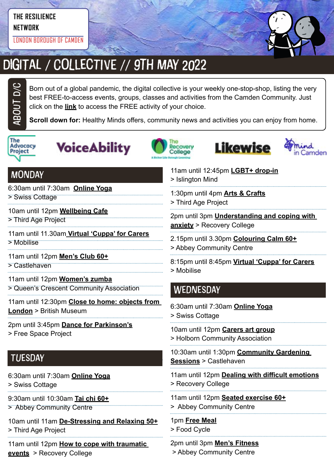#### **THE RESILIENCE**

**NETWORK**

LONDON BOROUGH OF CAMDEN



## DIGITAL / COLLECTIVE // 9TH MAY 2022

Born out of a global pandemic, the digital collective is your weekly one-stop-shop, listing the very best FREE-to-access events, groups, classes and activities from the Camden Community. Just click on the **link** to access the FREE activity of your choice.

**Scroll down for:** Healthy Minds offers, community news and activities you can enjoy from home.



ABOUt D/C









#### **MONDAY**

6:30am until 7:30am **[Online Yoga](https://yourswiss.org/)**

> Swiss Cottage

10am until 12pm **[Wellbeing Cafe](https://thirdageproject.org.uk/calendar/)**

> Third Age Project

11am until 11.30am **[Virtual 'Cuppa' for Carers](https://www.mobiliseonline.co.uk/cuppa)** > Mobilise

11am until 12pm **[Men's Club 60+](https://www.castlehaven.org.uk/whats-on/event/2539/)**

> Castlehaven

11am until 12pm **[Women's zumba](https://twitter.com/QCCA_ltd/status/1441030606608027653/photo/1)** > Queen's Crescent Community Association

11am until 12:30pm **[Close to home: objects from](https://www.webenrol.com/camden/Default.asp?page=detail&courseCode=CACL01C21&catID=5&locationID=&)  [London](https://www.webenrol.com/camden/Default.asp?page=detail&courseCode=CACL01C21&catID=5&locationID=&)** > British Museum

2pm until 3:45pm **[Dance for Parkinson's](https://www.freespaceproject.org/blog/dance-for-parkinsons)** > Free Space Project

#### **TUESDAY**

- 6:30am until 7:30am **[Online Yoga](https://yourswiss.org/)**
- > Swiss Cottage
- 9:30am until 10:30am **[Tai chi 60+](https://abbeycc-kilburn.org.uk/wp-content/uploads/2020/03/January-2022-programme.pdf)**
- > Abbey Community Centre

10am until 11am **[De-Stressing and Relaxing 50+](https://mcusercontent.com/ea2facf10e2b0030d86ac8775/images/7b7e1a43-b1d4-46e2-9a1c-220235255224.jpg?fbclid=IwAR3OeQ_6KX5rCiRFaTvQ2osfj66ekG8CeO0OVWDTfpWugvLoPIhuUhJObyU)** > Third Age Project

11am until 12pm **[How to cope with traumatic](https://www.candi.nhs.uk/sites/default/files/Summer%202022%20Courses%20alphabetical%20list%20and%20calendar.pdf)  [events](https://www.candi.nhs.uk/sites/default/files/Summer%202022%20Courses%20alphabetical%20list%20and%20calendar.pdf)** > Recovery College

11am until 12:45pm **[LGBT+ drop-in](https://www.islingtonmind.org.uk/our-services/mhrp/virtual-support-services/)** > Islington Mind

1:30pm until 4pm **[Arts & Crafts](https://twitter.com/ThirdAgeProject/status/1483392643849756675/photo/2)** > Third Age Project

2pm until 3pm **[Understanding and coping with](https://www.candi.nhs.uk/our-services/education-and-employment/recovery-college)  [anxiety](https://www.candi.nhs.uk/our-services/education-and-employment/recovery-college)** > Recovery College

- 2.15pm until 3.30pm **[Colouring Calm 60+](https://abbeycc-kilburn.org.uk/wp-content/uploads/2020/03/January-2022-programme.pdf)** > Abbey Community Centre
- 

8:15pm until 8:45pm **[Virtual 'Cuppa' for Carers](https://www.mobiliseonline.co.uk/cuppa)** > Mobilise

#### **WEDNESDAY**

6:30am until 7:30am **[Online Yoga](https://yourswiss.org/)** > Swiss Cottage

10am until 12pm **[Carers art group](https://www.holborncommunity.co.uk/events/carers-art-group-2021-04-07/)** > Holborn Community Association

10:30am until 1:30pm **[Community Gardening](https://www.castlehaven.org.uk/whats-on/event/1459/)  [Sessions](https://www.castlehaven.org.uk/whats-on/event/1459/)** > Castlehaven

11am until 12pm **[Dealing with difficult emotions](https://www.candi.nhs.uk/sites/default/files/Summer%202022%20Courses%20alphabetical%20list%20and%20calendar.pdf)** > Recovery College

11am until 12pm **[Seated exercise 60+](https://abbeycc-kilburn.org.uk/wp-content/uploads/2020/03/January-2022-programme.pdf)** > Abbey Community Centre

1pm **[Free Meal](https://www.foodcycle.org.uk/location/london-islington/)** > Food Cycle

2pm until 3pm **[Men's Fitness](mailto:https://abbeycc-kilburn.org.uk/wp-content/uploads/2020/03/January-2022-programme.pdf?subject=Men%27s%20fitness)** > Abbey Community Centre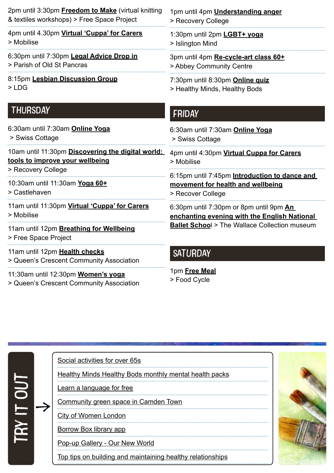| 2pm until 3:30pm <b>Freedom to Make</b> (virtual knitting                 | 1pm until 4pm <b>Understanding anger</b>                |  |  |
|---------------------------------------------------------------------------|---------------------------------------------------------|--|--|
| & textiles workshops) > Free Space Project                                | > Recovery College                                      |  |  |
| 4pm until 4.30pm Virtual 'Cuppa' for Carers                               | 1:30pm until 2pm LGBT+ yoga                             |  |  |
| > Mobilise                                                                | > Islington Mind                                        |  |  |
| 6:30pm until 7:30pm Legal Advice Drop in                                  | 3pm until 4pm Re-cycle-art class 60+                    |  |  |
| > Parish of Old St Pancras                                                | > Abbey Community Centre                                |  |  |
| 8:15pm Lesbian Discussion Group                                           | 7:30pm until 8:30pm Online quiz                         |  |  |
| $>$ LDG                                                                   | > Healthy Minds, Healthy Bods                           |  |  |
| <b>THURSDAY</b>                                                           | <b>FRIDAY</b>                                           |  |  |
| 6:30am until 7:30am Online Yoga                                           | 6:30am until 7:30am Online Yoga                         |  |  |
| > Swiss Cottage                                                           | > Swiss Cottage                                         |  |  |
| 10am until 11:30pm Discovering the digital world:                         | 4pm until 4:30pm Virtual Cuppa for Carers               |  |  |
| tools to improve your wellbeing                                           | > Mobilise                                              |  |  |
| > Recovery College                                                        | 6:15pm until 7:45pm Introduction to dance and           |  |  |
| 10:30am until 11:30am Yoga 60+                                            | movement for health and wellbeing                       |  |  |
| > Castlehaven                                                             | > Recover College                                       |  |  |
| 11am until 11:30pm Virtual 'Cuppa' for Carers                             | 6:30pm until 7:30pm or 8pm until 9pm An                 |  |  |
| > Mobilise                                                                | enchanting evening with the English National            |  |  |
| 11am until 12pm Breathing for Wellbeing<br>> Free Space Project           | <b>Ballet School &gt; The Wallace Collection museum</b> |  |  |
| 11am until 12pm Health checks<br>> Queen's Crescent Community Association | <b>SATURDAY</b>                                         |  |  |
| 11:30am until 12:30pm Women's yoga                                        | 1pm Free Meal                                           |  |  |

> Queen's Crescent Community Association

# 1pm **[Free Meal](https://www.foodcycle.org.uk/location/london-finsbury-park/)**

b

> Food Cycle

|  | Social activities for over 65s                                |  |
|--|---------------------------------------------------------------|--|
|  | <b>Healthy Minds Healthy Bods monthly mental health packs</b> |  |
|  | earn a language for free                                      |  |
|  | <u>Community green space in Camden Town</u>                   |  |
|  | <b>City of Women London</b>                                   |  |
|  | Borrow Box library app                                        |  |
|  | Pop-up Gallery - Our New World                                |  |
|  | Top tips on building and maintaining healthy relationships    |  |